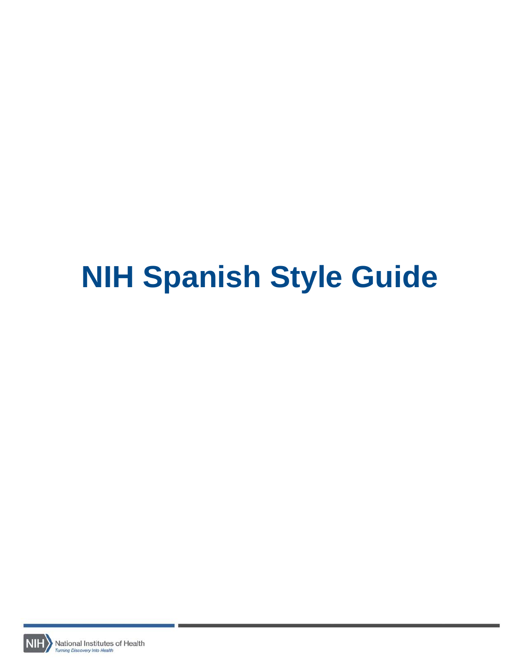# **NIH Spanish Style Guide**

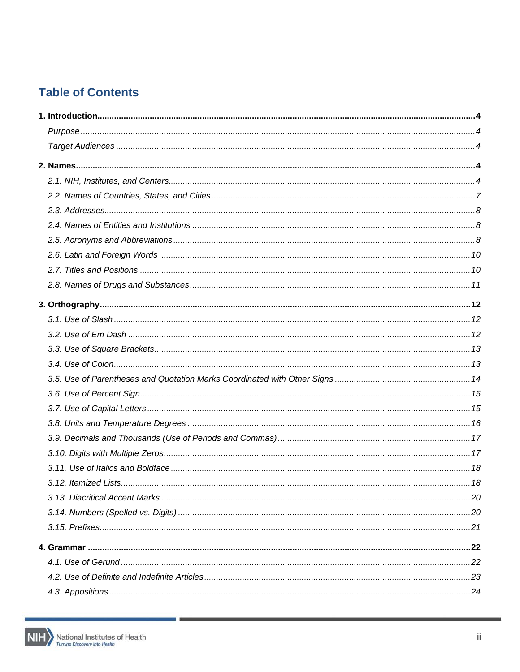# **Table of Contents**



п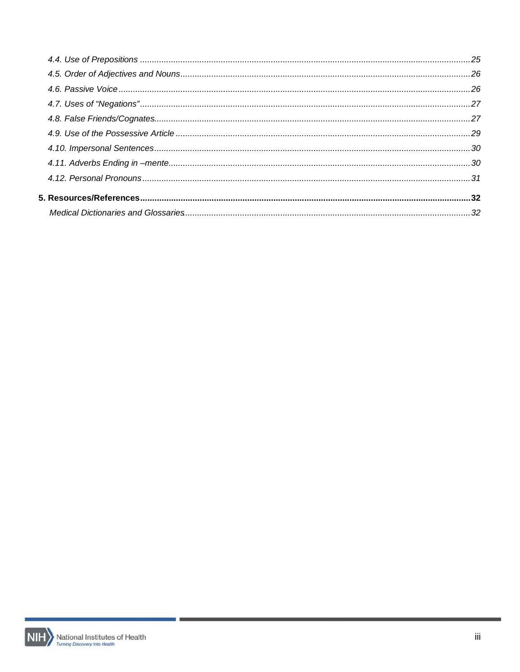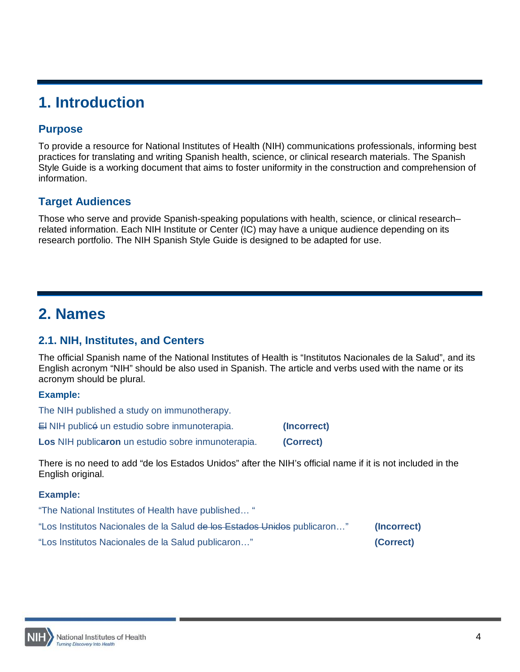# <span id="page-3-0"></span>**1. Introduction**

# <span id="page-3-1"></span>**Purpose**

To provide a resource for National Institutes of Health (NIH) communications professionals, informing best practices for translating and writing Spanish health, science, or clinical research materials. The Spanish Style Guide is a working document that aims to foster uniformity in the construction and comprehension of information.

# <span id="page-3-2"></span>**Target Audiences**

<span id="page-3-3"></span>Those who serve and provide Spanish-speaking populations with health, science, or clinical research– related information. Each NIH Institute or Center (IC) may have a unique audience depending on its research portfolio. The NIH Spanish Style Guide is designed to be adapted for use.

# **2. Names**

# <span id="page-3-4"></span>**2.1. NIH, Institutes, and Centers**

The official Spanish name of the National Institutes of Health is "Institutos Nacionales de la Salud", and its English acronym "NIH" should be also used in Spanish. The article and verbs used with the name or its acronym should be plural.

#### **Example:**

The NIH published a study on immunotherapy. El NIH publicó un estudio sobre inmunoterapia. **(Incorrect) Los** NIH public**aron** un estudio sobre inmunoterapia. **(Correct)**

There is no need to add "de los Estados Unidos" after the NIH's official name if it is not included in the English original.

| "The National Institutes of Health have published"                       |             |
|--------------------------------------------------------------------------|-------------|
| "Los Institutos Nacionales de la Salud de los Estados Unidos publicaron" | (Incorrect) |
| "Los Institutos Nacionales de la Salud publicaron"                       | (Correct)   |

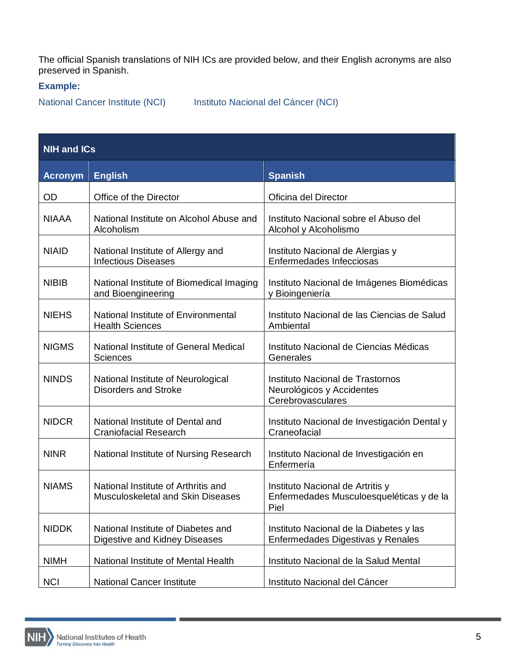The official Spanish translations of NIH ICs are provided below, and their English acronyms are also preserved in Spanish.

## **Example:**

National Cancer Institute (NCI) Instituto Nacional del Cáncer (NCI)

| <b>NIH and ICs</b> |                                                                                 |                                                                                      |  |
|--------------------|---------------------------------------------------------------------------------|--------------------------------------------------------------------------------------|--|
| <b>Acronym</b>     | <b>English</b>                                                                  | <b>Spanish</b>                                                                       |  |
| <b>OD</b>          | Office of the Director                                                          | Oficina del Director                                                                 |  |
| <b>NIAAA</b>       | National Institute on Alcohol Abuse and<br>Alcoholism                           | Instituto Nacional sobre el Abuso del<br>Alcohol y Alcoholismo                       |  |
| <b>NIAID</b>       | National Institute of Allergy and<br><b>Infectious Diseases</b>                 | Instituto Nacional de Alergias y<br>Enfermedades Infecciosas                         |  |
| <b>NIBIB</b>       | National Institute of Biomedical Imaging<br>and Bioengineering                  | Instituto Nacional de Imágenes Biomédicas<br>y Bioingeniería                         |  |
| <b>NIEHS</b>       | National Institute of Environmental<br><b>Health Sciences</b>                   | Instituto Nacional de las Ciencias de Salud<br>Ambiental                             |  |
| <b>NIGMS</b>       | National Institute of General Medical<br><b>Sciences</b>                        | Instituto Nacional de Ciencias Médicas<br>Generales                                  |  |
| <b>NINDS</b>       | National Institute of Neurological<br><b>Disorders and Stroke</b>               | Instituto Nacional de Trastornos<br>Neurológicos y Accidentes<br>Cerebrovasculares   |  |
| <b>NIDCR</b>       | National Institute of Dental and<br><b>Craniofacial Research</b>                | Instituto Nacional de Investigación Dental y<br>Craneofacial                         |  |
| <b>NINR</b>        | National Institute of Nursing Research                                          | Instituto Nacional de Investigación en<br>Enfermería                                 |  |
| <b>NIAMS</b>       | National Institute of Arthritis and<br><b>Musculoskeletal and Skin Diseases</b> | Instituto Nacional de Artritis y<br>Enfermedades Musculoesqueléticas y de la<br>Piel |  |
| <b>NIDDK</b>       | National Institute of Diabetes and<br>Digestive and Kidney Diseases             | Instituto Nacional de la Diabetes y las<br>Enfermedades Digestivas y Renales         |  |
| <b>NIMH</b>        | National Institute of Mental Health                                             | Instituto Nacional de la Salud Mental                                                |  |
| <b>NCI</b>         | <b>National Cancer Institute</b>                                                | Instituto Nacional del Cáncer                                                        |  |

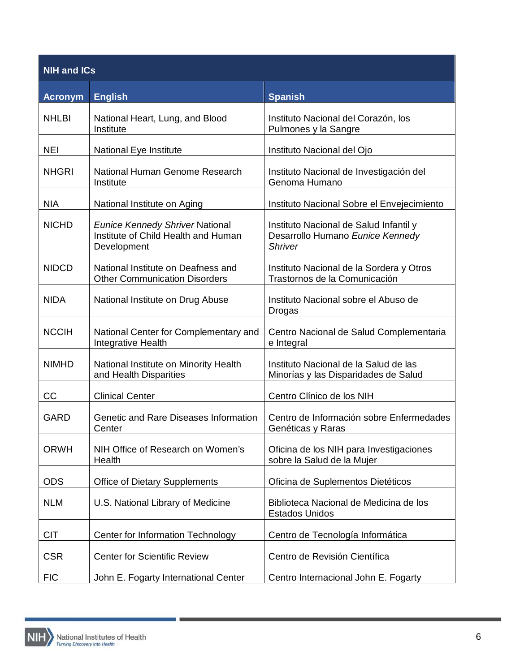| <b>NIH and ICs</b> |                                                                                              |                                                                                              |  |
|--------------------|----------------------------------------------------------------------------------------------|----------------------------------------------------------------------------------------------|--|
| <b>Acronym</b>     | <b>English</b>                                                                               | <b>Spanish</b>                                                                               |  |
| <b>NHLBI</b>       | National Heart, Lung, and Blood<br>Institute                                                 | Instituto Nacional del Corazón, los<br>Pulmones y la Sangre                                  |  |
| <b>NEI</b>         | National Eye Institute                                                                       | Instituto Nacional del Ojo                                                                   |  |
| <b>NHGRI</b>       | National Human Genome Research<br>Institute                                                  | Instituto Nacional de Investigación del<br>Genoma Humano                                     |  |
| <b>NIA</b>         | National Institute on Aging                                                                  | Instituto Nacional Sobre el Envejecimiento                                                   |  |
| <b>NICHD</b>       | <b>Eunice Kennedy Shriver National</b><br>Institute of Child Health and Human<br>Development | Instituto Nacional de Salud Infantil y<br>Desarrollo Humano Eunice Kennedy<br><b>Shriver</b> |  |
| <b>NIDCD</b>       | National Institute on Deafness and<br><b>Other Communication Disorders</b>                   | Instituto Nacional de la Sordera y Otros<br>Trastornos de la Comunicación                    |  |
| <b>NIDA</b>        | National Institute on Drug Abuse                                                             | Instituto Nacional sobre el Abuso de<br>Drogas                                               |  |
| <b>NCCIH</b>       | National Center for Complementary and<br>Integrative Health                                  | Centro Nacional de Salud Complementaria<br>e Integral                                        |  |
| <b>NIMHD</b>       | National Institute on Minority Health<br>and Health Disparities                              | Instituto Nacional de la Salud de las<br>Minorías y las Disparidades de Salud                |  |
| CC                 | <b>Clinical Center</b>                                                                       | Centro Clínico de los NIH                                                                    |  |
| <b>GARD</b>        | Genetic and Rare Diseases Information<br>Center                                              | Centro de Información sobre Enfermedades<br>Genéticas y Raras                                |  |
| <b>ORWH</b>        | NIH Office of Research on Women's<br>Health                                                  | Oficina de los NIH para Investigaciones<br>sobre la Salud de la Mujer                        |  |
| <b>ODS</b>         | <b>Office of Dietary Supplements</b>                                                         | Oficina de Suplementos Dietéticos                                                            |  |
| <b>NLM</b>         | U.S. National Library of Medicine                                                            | Biblioteca Nacional de Medicina de los<br><b>Estados Unidos</b>                              |  |
| <b>CIT</b>         | Center for Information Technology                                                            | Centro de Tecnología Informática                                                             |  |
| <b>CSR</b>         | <b>Center for Scientific Review</b>                                                          | Centro de Revisión Científica                                                                |  |
| <b>FIC</b>         | John E. Fogarty International Center                                                         | Centro Internacional John E. Fogarty                                                         |  |

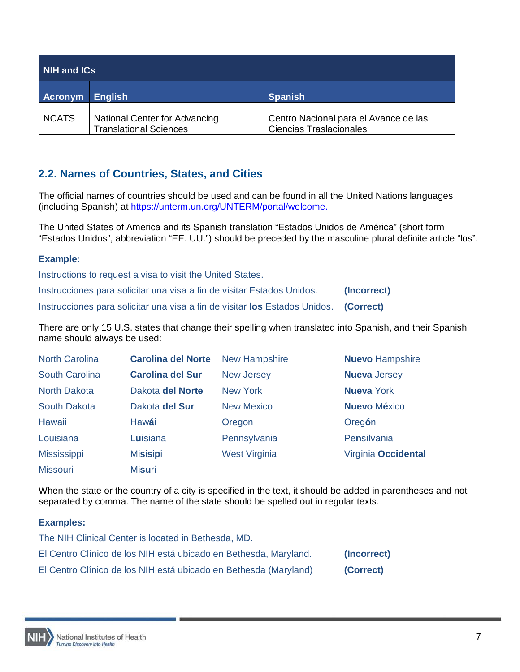| NIH and ICs  |                                                                       |                                                                         |
|--------------|-----------------------------------------------------------------------|-------------------------------------------------------------------------|
| Acronym      | <b>English</b>                                                        | <b>Spanish</b>                                                          |
| <b>NCATS</b> | <b>National Center for Advancing</b><br><b>Translational Sciences</b> | Centro Nacional para el Avance de las<br><b>Ciencias Traslacionales</b> |

# <span id="page-6-0"></span>**2.2. Names of Countries, States, and Cities**

The official names of countries should be used and can be found in all the United Nations languages (including Spanish) at [https://unterm.un.org/UNTERM/portal/welcome.](https://unterm.un.org/UNTERM/portal/welcome)

The United States of America and its Spanish translation "Estados Unidos de América" (short form "Estados Unidos", abbreviation "EE. UU.") should be preceded by the masculine plural definite article "los".

#### **Example:**

Instructions to request a visa to visit the United States. Instrucciones para solicitar una visa a fin de visitar Estados Unidos. **(Incorrect)** Instrucciones para solicitar una visa a fin de visitar **los** Estados Unidos. **(Correct)**

There are only 15 U.S. states that change their spelling when translated into Spanish, and their Spanish name should always be used:

| <b>North Carolina</b> | <b>Carolina del Norte</b> | <b>New Hampshire</b> | <b>Nuevo Hampshire</b> |
|-----------------------|---------------------------|----------------------|------------------------|
| <b>South Carolina</b> | <b>Carolina del Sur</b>   | <b>New Jersey</b>    | <b>Nueva</b> Jersey    |
| <b>North Dakota</b>   | Dakota del Norte          | <b>New York</b>      | <b>Nueva</b> York      |
| <b>South Dakota</b>   | Dakota del Sur            | <b>New Mexico</b>    | <b>Nuevo México</b>    |
| Hawaii                | Hawái                     | Oregon               | Oregón                 |
| Louisiana             | Luisiana                  | Pennsylvania         | Pensilvania            |
| <b>Mississippi</b>    | <b>Misisipi</b>           | <b>West Virginia</b> | Virginia Occidental    |
| <b>Missouri</b>       | <b>Misuri</b>             |                      |                        |

When the state or the country of a city is specified in the text, it should be added in parentheses and not separated by comma. The name of the state should be spelled out in regular texts.

| The NIH Clinical Center is located in Bethesda, MD.              |             |
|------------------------------------------------------------------|-------------|
| El Centro Clínico de los NIH está ubicado en Bethesda, Maryland. | (Incorrect) |
| El Centro Clínico de los NIH está ubicado en Bethesda (Maryland) | (Correct)   |

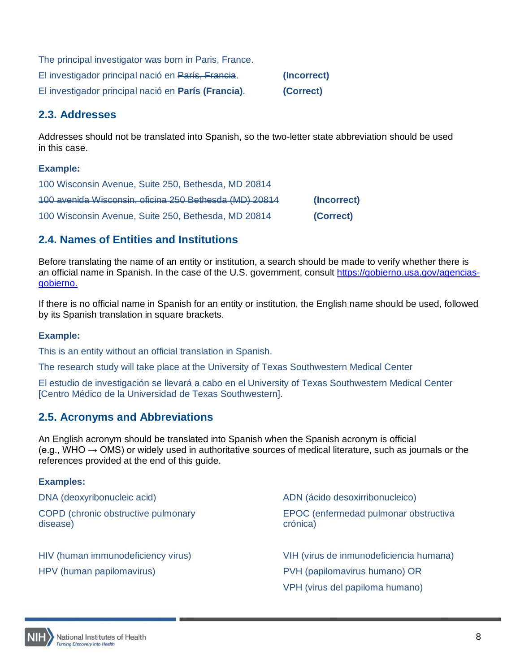| The principal investigator was born in Paris, France. |             |
|-------------------------------------------------------|-------------|
| El investigador principal nació en París, Francia.    | (Incorrect) |
| El investigador principal nació en París (Francia).   | (Correct)   |

# <span id="page-7-0"></span>**2.3. Addresses**

Addresses should not be translated into Spanish, so the two-letter state abbreviation should be used in this case.

# **Example:**

| 100 Wisconsin Avenue, Suite 250, Bethesda, MD 20814    |             |
|--------------------------------------------------------|-------------|
| 100 avenida Wisconsin, oficina 250 Bethesda (MD) 20814 | (Incorrect) |
| 100 Wisconsin Avenue, Suite 250, Bethesda, MD 20814    | (Correct)   |

# <span id="page-7-1"></span>**2.4. Names of Entities and Institutions**

Before translating the name of an entity or institution, a search should be made to verify whether there is an official name in Spanish. In the case of the U.S. government, consult [https://gobierno.usa.gov/agencias](https://gobierno.usa.gov/agencias-gobierno)[gobierno.](https://gobierno.usa.gov/agencias-gobierno)

If there is no official name in Spanish for an entity or institution, the English name should be used, followed by its Spanish translation in square brackets.

# **Example:**

This is an entity without an official translation in Spanish.

The research study will take place at the University of Texas Southwestern Medical Center

El estudio de investigación se llevará a cabo en el University of Texas Southwestern Medical Center [Centro Médico de la Universidad de Texas Southwestern].

# <span id="page-7-2"></span>**2.5. Acronyms and Abbreviations**

An English acronym should be translated into Spanish when the Spanish acronym is official  $(e.q., WHO \rightarrow OMS)$  or widely used in authoritative sources of medical literature, such as journals or the references provided at the end of this guide.

| DNA (deoxyribonucleic acid)                     | ADN (ácido desoxirribonucleico)                   |
|-------------------------------------------------|---------------------------------------------------|
| COPD (chronic obstructive pulmonary<br>disease) | EPOC (enfermedad pulmonar obstructiva<br>crónica) |
| HIV (human immunodeficiency virus)              | VIH (virus de inmunodeficiencia humana)           |
| HPV (human papilomavirus)                       | PVH (papilomavirus humano) OR                     |
|                                                 | VPH (virus del papiloma humano)                   |

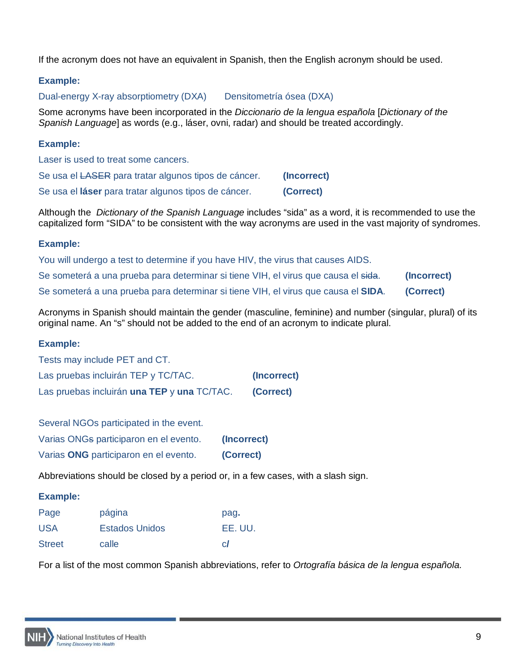If the acronym does not have an equivalent in Spanish, then the English acronym should be used.

# **Example:**

Dual-energy X-ray absorptiometry (DXA) Densitometría ósea (DXA)

Some acronyms have been incorporated in the *Diccionario de la lengua española* [*Dictionary of the Spanish Language*] as words (e.g., láser, ovni, radar) and should be treated accordingly.

# **Example:**

Laser is used to treat some cancers.

| Se usa el LASER para tratar algunos tipos de cáncer. | (Incorrect) |
|------------------------------------------------------|-------------|
| Se usa el láser para tratar algunos tipos de cáncer. | (Correct)   |

Although the *Dictionary of the Spanish Language* includes "sida" as a word, it is recommended to use the capitalized form "SIDA" to be consistent with the way acronyms are used in the vast majority of syndromes.

# **Example:**

| You will undergo a test to determine if you have HIV, the virus that causes AIDS.  |             |
|------------------------------------------------------------------------------------|-------------|
| Se someterá a una prueba para determinar si tiene VIH, el virus que causa el sida. | (Incorrect) |
| Se someterá a una prueba para determinar si tiene VIH, el virus que causa el SIDA. | (Correct)   |

Acronyms in Spanish should maintain the gender (masculine, feminine) and number (singular, plural) of its original name. An "s" should not be added to the end of an acronym to indicate plural.

# **Example:**

| Tests may include PET and CT.               |             |
|---------------------------------------------|-------------|
| Las pruebas incluirán TEP y TC/TAC.         | (Incorrect) |
| Las pruebas incluirán una TEP y una TC/TAC. | (Correct)   |

Several NGOs participated in the event.

| Varias ONGs participaron en el evento. | (Incorrect) |
|----------------------------------------|-------------|
| Varias ONG participaron en el evento.  | (Correct)   |

Abbreviations should be closed by a period or, in a few cases, with a slash sign.

# **Example:**

| Page          | página         | pag.    |
|---------------|----------------|---------|
| <b>USA</b>    | Estados Unidos | EE. UU. |
| <b>Street</b> | calle          | cI      |

For a list of the most common Spanish abbreviations, refer to *Ortografía básica de la lengua española.*

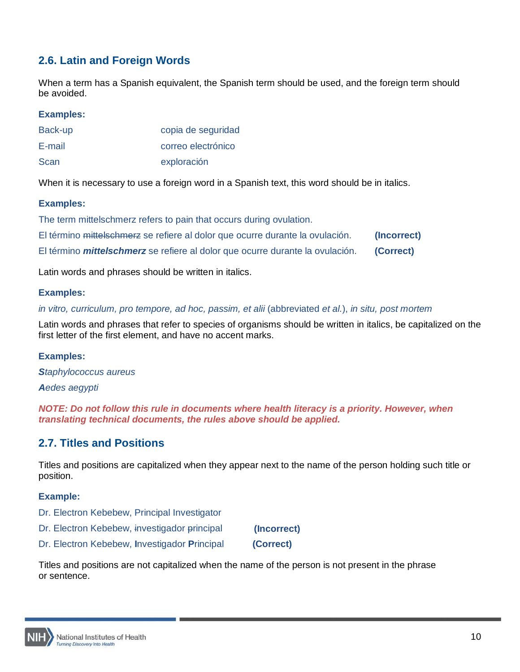# <span id="page-9-0"></span>**2.6. Latin and Foreign Words**

When a term has a Spanish equivalent, the Spanish term should be used, and the foreign term should be avoided.

#### **Examples:**

| Back-up | copia de seguridad |
|---------|--------------------|
| E-mail  | correo electrónico |
| Scan    | exploración        |

When it is necessary to use a foreign word in a Spanish text, this word should be in italics.

#### **Examples:**

The term mittelschmerz refers to pain that occurs during ovulation.

|         | El término mittels chmerz se refiere al dolor que ocurre durante la ovulación. |  |  | (Incorrect) |  |
|---------|--------------------------------------------------------------------------------|--|--|-------------|--|
| _______ |                                                                                |  |  |             |  |

El término *mittelschmerz* se refiere al dolor que ocurre durante la ovulación. **(Correct)**

Latin words and phrases should be written in italics.

#### **Examples:**

*in vitro, curriculum, pro tempore, ad hoc, passim, et alii* (abbreviated *et al.*), *in situ, post mortem*

Latin words and phrases that refer to species of organisms should be written in italics, be capitalized on the first letter of the first element, and have no accent marks.

#### **Examples:**

*Staphylococcus aureus Aedes aegypti*

*NOTE: Do not follow this rule in documents where health literacy is a priority. However, when translating technical documents, the rules above should be applied.*

# <span id="page-9-1"></span>**2.7. Titles and Positions**

Titles and positions are capitalized when they appear next to the name of the person holding such title or position.

# **Example:**

- Dr. Electron Kebebew, Principal Investigator
- Dr. Electron Kebebew, investigador principal **(Incorrect)**
- Dr. Electron Kebebew, **I**nvestigador **P**rincipal **(Correct)**

Titles and positions are not capitalized when the name of the person is not present in the phrase or sentence.

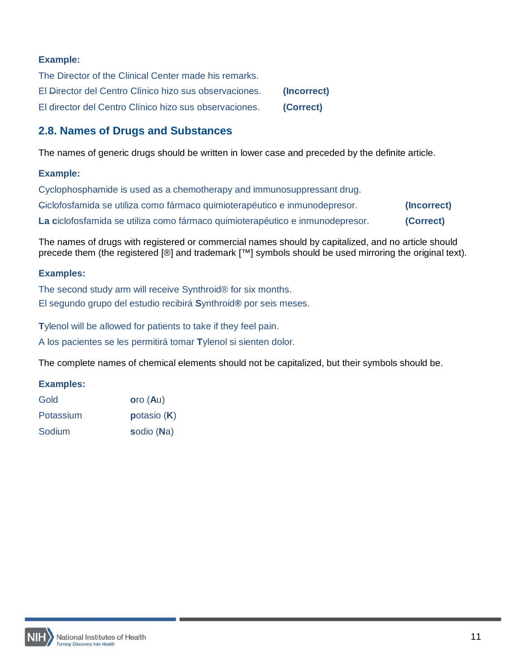# **Example:**

| The Director of the Clinical Center made his remarks.  |             |
|--------------------------------------------------------|-------------|
| El Director del Centro Clínico hizo sus observaciones. | (Incorrect) |
| El director del Centro Clínico hizo sus observaciones. | (Correct)   |

# <span id="page-10-0"></span>**2.8. Names of Drugs and Substances**

The names of generic drugs should be written in lower case and preceded by the definite article.

#### **Example:**

| Cyclophosphamide is used as a chemotherapy and immunosuppressant drug.        |             |
|-------------------------------------------------------------------------------|-------------|
| Giclofosfamida se utiliza como fármaco quimioterapéutico e inmunodepresor.    | (Incorrect) |
| La ciclofosfamida se utiliza como fármaco quimioterapéutico e inmunodepresor. | (Correct)   |

The names of drugs with registered or commercial names should by capitalized, and no article should precede them (the registered [®] and trademark [™] symbols should be used mirroring the original text).

# **Examples:**

The second study arm will receive Synthroid® for six months. El segundo grupo del estudio recibirá **S**ynthroid**®** por seis meses.

**T**ylenol will be allowed for patients to take if they feel pain.

A los pacientes se les permitirá tomar **T**ylenol si sienten dolor.

The complete names of chemical elements should not be capitalized, but their symbols should be.

| Gold      | $\overline{\text{oro}}$ (Au) |
|-----------|------------------------------|
| Potassium | potasio $(K)$                |
| Sodium    | sodio (Na)                   |

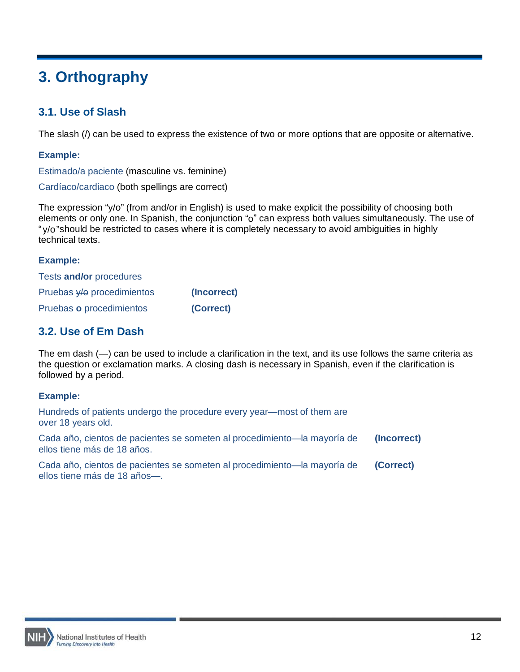# <span id="page-11-0"></span>**3. Orthography**

# <span id="page-11-1"></span>**3.1. Use of Slash**

The slash (/) can be used to express the existence of two or more options that are opposite or alternative.

## **Example:**

Estimado/a paciente (masculine vs. feminine)

Cardíaco/cardiaco (both spellings are correct)

The expression "y/o" (from and/or in English) is used to make explicit the possibility of choosing both elements or only one. In Spanish, the conjunction "o" can express both values simultaneously. The use of "y/o"should be restricted to cases where it is completely necessary to avoid ambiguities in highly technical texts.

#### **Example:**

| Tests and/or procedures    |             |
|----------------------------|-------------|
| Pruebas y/o procedimientos | (Incorrect) |
| Pruebas o procedimientos   | (Correct)   |

# <span id="page-11-2"></span>**3.2. Use of Em Dash**

The em dash (—) can be used to include a clarification in the text, and its use follows the same criteria as the question or exclamation marks. A closing dash is necessary in Spanish, even if the clarification is followed by a period.

| Hundreds of patients undergo the procedure every year—most of them are<br>over 18 years old.             |             |
|----------------------------------------------------------------------------------------------------------|-------------|
| Cada año, cientos de pacientes se someten al procedimiento—la mayoría de<br>ellos tiene más de 18 años.  | (Incorrect) |
| Cada año, cientos de pacientes se someten al procedimiento—la mayoría de<br>ellos tiene más de 18 años-. | (Correct)   |

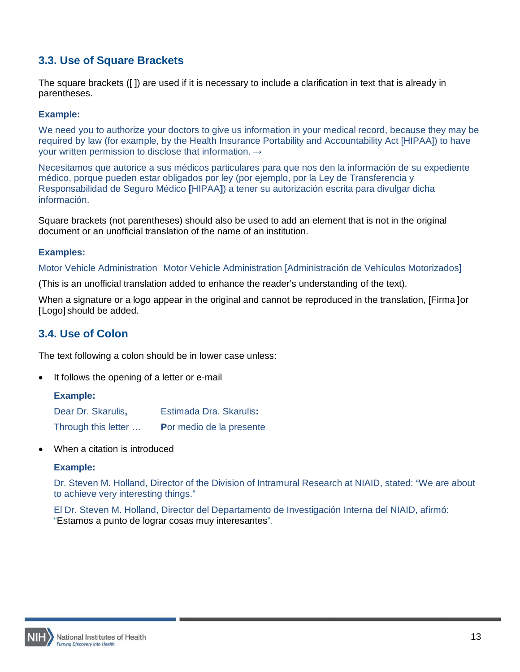# <span id="page-12-0"></span>**3.3. Use of Square Brackets**

The square brackets ([ ]) are used if it is necessary to include a clarification in text that is already in parentheses.

#### **Example:**

We need you to authorize your doctors to give us information in your medical record, because they may be required by law (for example, by the Health Insurance Portability and Accountability Act [HIPAA]) to have your written permission to disclose that information.  $\rightarrow$ 

Necesitamos que autorice a sus médicos particulares para que nos den la información de su expediente médico, porque pueden estar obligados por ley (por ejemplo, por la Ley de Transferencia y Responsabilidad de Seguro Médico **[**HIPAA**]**) a tener su autorización escrita para divulgar dicha información.

Square brackets (not parentheses) should also be used to add an element that is not in the original document or an unofficial translation of the name of an institution.

#### **Examples:**

Motor Vehicle Administration Motor Vehicle Administration [Administración de Vehículos Motorizados]

(This is an unofficial translation added to enhance the reader's understanding of the text).

When a signature or a logo appear in the original and cannot be reproduced in the translation, [Firma ]or [Logo] should be added.

# <span id="page-12-1"></span>**3.4. Use of Colon**

The text following a colon should be in lower case unless:

It follows the opening of a letter or e-mail

#### **Example:**

| Dear Dr. Skarulis,  | Estimada Dra. Skarulis:  |
|---------------------|--------------------------|
| Through this letter | Por medio de la presente |

When a citation is introduced

#### **Example:**

Dr. Steven M. Holland, Director of the Division of Intramural Research at NIAID, stated: "We are about to achieve very interesting things."

El Dr. Steven M. Holland, Director del Departamento de Investigación Interna del NIAID, afirmó: "Estamos a punto de lograr cosas muy interesantes".

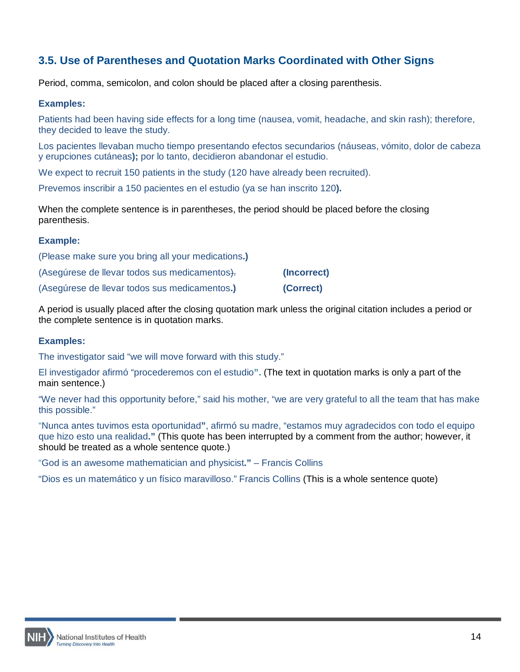# <span id="page-13-0"></span>**3.5. Use of Parentheses and Quotation Marks Coordinated with Other Signs**

Period, comma, semicolon, and colon should be placed after a closing parenthesis.

#### **Examples:**

Patients had been having side effects for a long time (nausea, vomit, headache, and skin rash); therefore, they decided to leave the study.

Los pacientes llevaban mucho tiempo presentando efectos secundarios (náuseas, vómito, dolor de cabeza y erupciones cutáneas**);** por lo tanto, decidieron abandonar el estudio.

We expect to recruit 150 patients in the study (120 have already been recruited).

Prevemos inscribir a 150 pacientes en el estudio (ya se han inscrito 120**).**

When the complete sentence is in parentheses, the period should be placed before the closing parenthesis.

#### **Example:**

| (Please make sure you bring all your medications.) |             |
|----------------------------------------------------|-------------|
| (Asegúrese de llevar todos sus medicamentos).      | (Incorrect) |
| (Asegúrese de llevar todos sus medicamentos.)      | (Correct)   |

A period is usually placed after the closing quotation mark unless the original citation includes a period or the complete sentence is in quotation marks.

#### **Examples:**

The investigator said "we will move forward with this study."

El investigador afirmó "procederemos con el estudio**".** (The text in quotation marks is only a part of the main sentence.)

"We never had this opportunity before," said his mother, "we are very grateful to all the team that has make this possible."

"Nunca antes tuvimos esta oportunidad**"**, afirmó su madre, "estamos muy agradecidos con todo el equipo que hizo esto una realidad**."** (This quote has been interrupted by a comment from the author; however, it should be treated as a whole sentence quote.)

"God is an awesome mathematician and physicist**."** – Francis Collins

"Dios es un matemático y un físico maravilloso." Francis Collins (This is a whole sentence quote)

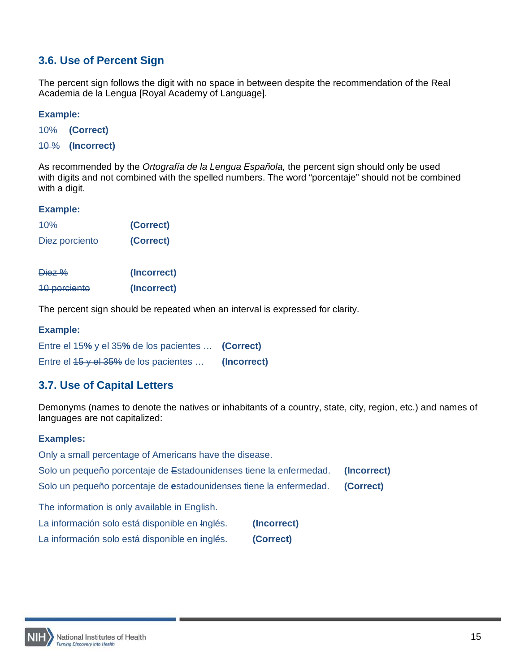# <span id="page-14-0"></span>**3.6. Use of Percent Sign**

The percent sign follows the digit with no space in between despite the recommendation of the Real Academia de la Lengua [Royal Academy of Language].

## **Example:**

10% **(Correct)**

10 % **(Incorrect)**

As recommended by the *Ortografía de la Lengua Española,* the percent sign should only be used with digits and not combined with the spelled numbers. The word "porcentaje" should not be combined with a digit.

#### **Example:**

| 10%            | (Correct) |
|----------------|-----------|
| Diez porciento | (Correct) |

| Diez %              | (Incorrect) |
|---------------------|-------------|
| <b>10 porciento</b> | (Incorrect) |

The percent sign should be repeated when an interval is expressed for clarity.

#### **Example:**

| Entre el 15% y el 35% de los pacientes  (Correct) |             |
|---------------------------------------------------|-------------|
| Entre el $15$ y el $35\%$ de los pacientes        | (Incorrect) |

# <span id="page-14-1"></span>**3.7. Use of Capital Letters**

Demonyms (names to denote the natives or inhabitants of a country, state, city, region, etc.) and names of languages are not capitalized:

# **Examples:**

Only a small percentage of Americans have the disease.

|  | Solo un pequeño porcentaje de Estadounidenses tiene la enfermedad. | (Incorrect) |
|--|--------------------------------------------------------------------|-------------|
|--|--------------------------------------------------------------------|-------------|

Solo un pequeño porcentaje de **e**stadounidenses tiene la enfermedad. **(Correct)**

The information is only available in English.

| La información solo está disponible en Inglés. |  | (Incorrect) |
|------------------------------------------------|--|-------------|
|------------------------------------------------|--|-------------|

La información solo está disponible en **i**nglés. **(Correct)**

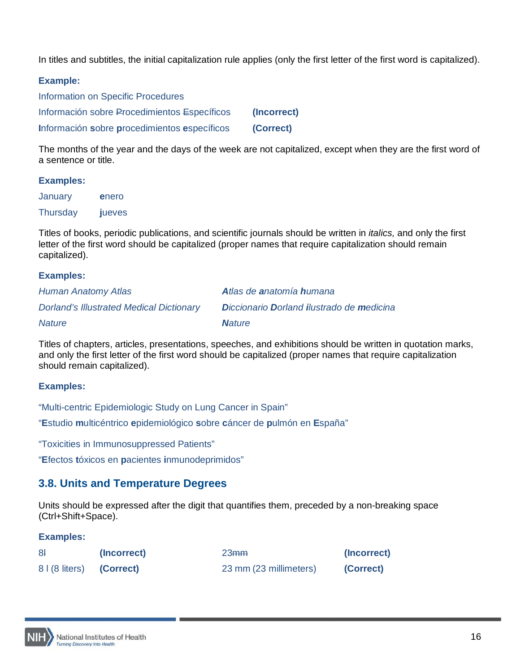In titles and subtitles, the initial capitalization rule applies (only the first letter of the first word is capitalized).

#### **Example:**

Information on Specific Procedures Información sobre Procedimientos Específicos **(Incorrect) I**nformación **s**obre **p**rocedimientos **e**specíficos **(Correct)**

The months of the year and the days of the week are not capitalized, except when they are the first word of a sentence or title.

#### **Examples:**

January **e**nero Thursday **j**ueves

Titles of books, periodic publications, and scientific journals should be written in *italics,* and only the first letter of the first word should be capitalized (proper names that require capitalization should remain capitalized).

#### **Examples:**

| Human Anatomy Atlas                             | Atlas de anatomía humana                  |
|-------------------------------------------------|-------------------------------------------|
| <b>Dorland's Illustrated Medical Dictionary</b> | Diccionario Dorland ilustrado de medicina |
| <b>Nature</b>                                   | <b>Nature</b>                             |

Titles of chapters, articles, presentations, speeches, and exhibitions should be written in quotation marks, and only the first letter of the first word should be capitalized (proper names that require capitalization should remain capitalized).

# **Examples:**

"Multi-centric Epidemiologic Study on Lung Cancer in Spain"

"**E**studio **m**ulticéntrico **e**pidemiológico **s**obre **c**áncer de **p**ulmón en **E**spaña"

"Toxicities in Immunosuppressed Patients"

"**E**fectos **t**óxicos en **p**acientes **i**nmunodeprimidos"

# <span id="page-15-0"></span>**3.8. Units and Temperature Degrees**

Units should be expressed after the digit that quantifies them, preceded by a non-breaking space (Ctrl+Shift+Space).

| 8 <sup>1</sup>           | (Incorrect) | 23 <sub>mm</sub>       | (Incorrect) |
|--------------------------|-------------|------------------------|-------------|
| 8   (8 liters) (Correct) |             | 23 mm (23 millimeters) | (Correct)   |

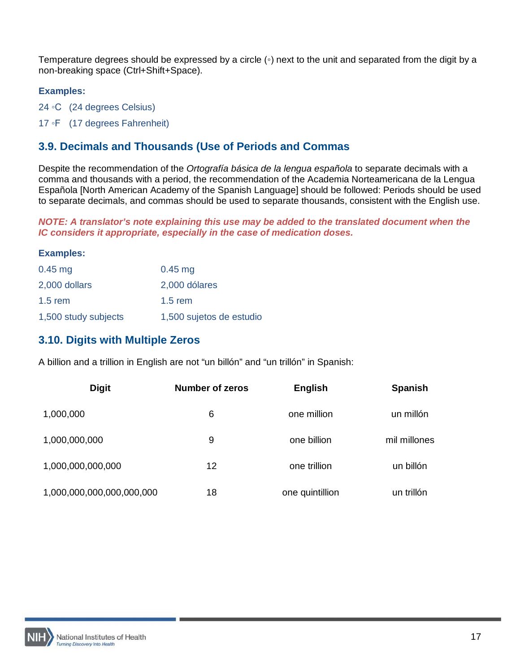Temperature degrees should be expressed by a circle (◦) next to the unit and separated from the digit by a non-breaking space (Ctrl+Shift+Space).

# **Examples:**

24 ◦C (24 degrees Celsius)

17 ◦F (17 degrees Fahrenheit)

# <span id="page-16-0"></span>**3.9. Decimals and Thousands (Use of Periods and Commas**

Despite the recommendation of the *Ortografía básica de la lengua española* to separate decimals with a comma and thousands with a period, the recommendation of the Academia Norteamericana de la Lengua Española [North American Academy of the Spanish Language] should be followed: Periods should be used to separate decimals, and commas should be used to separate thousands, consistent with the English use.

*NOTE: A translator's note explaining this use may be added to the translated document when the IC considers it appropriate, especially in the case of medication doses.*

#### **Examples:**

| $0.45$ mg            | $0.45$ mg                |
|----------------------|--------------------------|
| 2,000 dollars        | 2,000 dólares            |
| $1.5$ rem            | $1.5$ rem                |
| 1,500 study subjects | 1,500 sujetos de estudio |

# <span id="page-16-1"></span>**3.10. Digits with Multiple Zeros**

A billion and a trillion in English are not "un billón" and "un trillón" in Spanish:

| <b>Digit</b>              | <b>Number of zeros</b> | <b>English</b>  | <b>Spanish</b> |
|---------------------------|------------------------|-----------------|----------------|
| 1,000,000                 | 6                      | one million     | un millón      |
| 1,000,000,000             | 9                      | one billion     | mil millones   |
| 1,000,000,000,000         | 12                     | one trillion    | un billón      |
| 1,000,000,000,000,000,000 | 18                     | one quintillion | un trillón     |

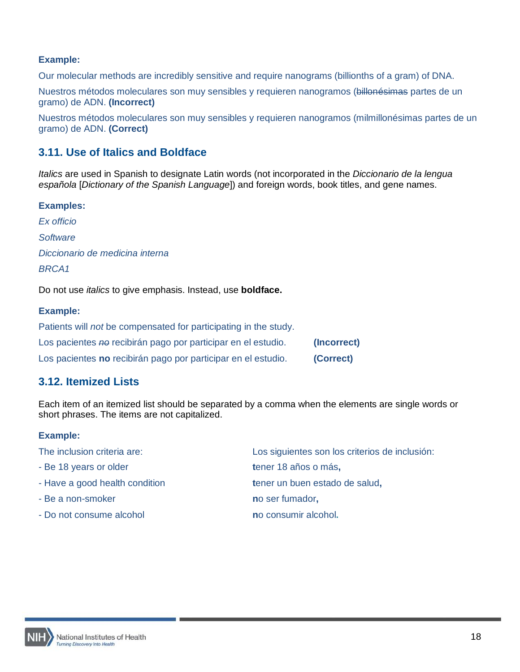## **Example:**

Our molecular methods are incredibly sensitive and require nanograms (billionths of a gram) of DNA.

Nuestros métodos moleculares son muy sensibles y requieren nanogramos (billonésimas partes de un gramo) de ADN. **(Incorrect)**

Nuestros métodos moleculares son muy sensibles y requieren nanogramos (milmillonésimas partes de un gramo) de ADN. **(Correct)**

# <span id="page-17-0"></span>**3.11. Use of Italics and Boldface**

*Italics* are used in Spanish to designate Latin words (not incorporated in the *Diccionario de la lengua española* [*Dictionary of the Spanish Language*]) and foreign words, book titles, and gene names.

#### **Examples:**

*Ex officio Software Diccionario de medicina interna BRCA1*

Do not use *italics* to give emphasis. Instead, use **boldface.**

#### **Example:**

| Patients will <i>not</i> be compensated for participating in the study. |             |
|-------------------------------------------------------------------------|-------------|
| Los pacientes no recibirán pago por participar en el estudio.           | (Incorrect) |
| Los pacientes no recibirán pago por participar en el estudio.           | (Correct)   |

# <span id="page-17-1"></span>**3.12. Itemized Lists**

Each item of an itemized list should be separated by a comma when the elements are single words or short phrases. The items are not capitalized.

| The inclusion criteria are:    | Los siguientes son los criterios de inclusión: |
|--------------------------------|------------------------------------------------|
| - Be 18 years or older         | tener 18 años o más,                           |
| - Have a good health condition | tener un buen estado de salud,                 |
| - Be a non-smoker              | no ser fumador,                                |
| - Do not consume alcohol       | no consumir alcohol.                           |

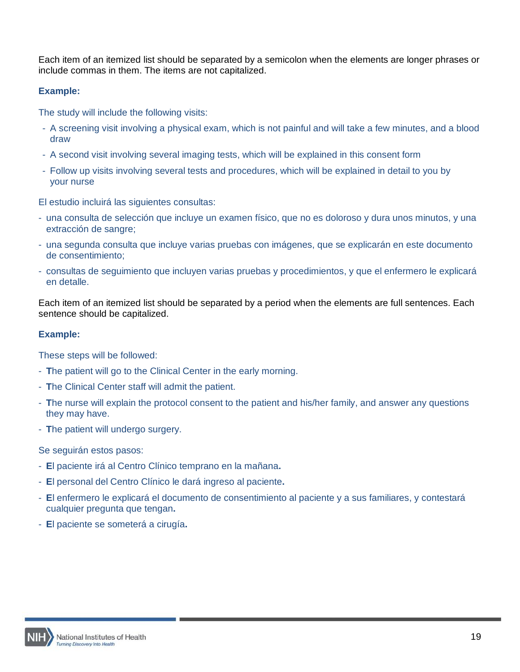Each item of an itemized list should be separated by a semicolon when the elements are longer phrases or include commas in them. The items are not capitalized.

# **Example:**

The study will include the following visits:

- A screening visit involving a physical exam, which is not painful and will take a few minutes, and a blood draw
- A second visit involving several imaging tests, which will be explained in this consent form
- Follow up visits involving several tests and procedures, which will be explained in detail to you by your nurse

El estudio incluirá las siguientes consultas:

- una consulta de selección que incluye un examen físico, que no es doloroso y dura unos minutos, y una extracción de sangre;
- una segunda consulta que incluye varias pruebas con imágenes, que se explicarán en este documento de consentimiento;
- consultas de seguimiento que incluyen varias pruebas y procedimientos, y que el enfermero le explicará en detalle.

Each item of an itemized list should be separated by a period when the elements are full sentences. Each sentence should be capitalized.

# **Example:**

These steps will be followed:

- **T**he patient will go to the Clinical Center in the early morning.
- **T**he Clinical Center staff will admit the patient.
- **T**he nurse will explain the protocol consent to the patient and his/her family, and answer any questions they may have.
- **T**he patient will undergo surgery.

Se seguirán estos pasos:

- **E**l paciente irá al Centro Clínico temprano en la mañana**.**
- **E**l personal del Centro Clínico le dará ingreso al paciente**.**
- **E**l enfermero le explicará el documento de consentimiento al paciente y a sus familiares, y contestará cualquier pregunta que tengan**.**
- **E**l paciente se someterá a cirugía**.**

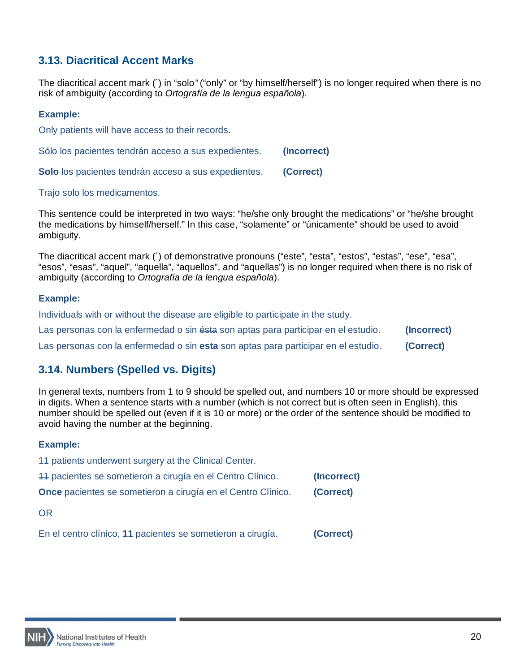# <span id="page-19-0"></span>**3.13. Diacritical Accent Marks**

The diacritical accent mark (´) in "solo" ("only" or "by himself/herself") is no longer required when there is no risk of ambiguity (according to *Ortografía de la lengua española*).

#### **Example:**

Only patients will have access to their records.

Sólo los pacientes tendrán acceso a sus expedientes. **(Incorrect) Solo** los pacientes tendrán acceso a sus expedientes. **(Correct)**

#### Trajo solo los medicamentos.

This sentence could be interpreted in two ways: "he/she only brought the medications" or "he/she brought the medications by himself/herself." In this case, "solamente" or "únicamente" should be used to avoid ambiguity.

The diacritical accent mark (´) of demonstrative pronouns ("este", "esta", "estos", "estas", "ese", "esa", "esos", "esas", "aquel", "aquella", "aquellos", and "aquellas") is no longer required when there is no risk of ambiguity (according to *Ortografía de la lengua española*).

#### **Example:**

Individuals with or without the disease are eligible to participate in the study.

| Las personas con la enfermedad o sin ésta son aptas para participar en el estudio. | (Incorrect) |
|------------------------------------------------------------------------------------|-------------|
| Las personas con la enfermedad o sin esta son aptas para participar en el estudio. | (Correct)   |

# <span id="page-19-1"></span>**3.14. Numbers (Spelled vs. Digits)**

In general texts, numbers from 1 to 9 should be spelled out, and numbers 10 or more should be expressed in digits. When a sentence starts with a number (which is not correct but is often seen in English), this number should be spelled out (even if it is 10 or more) or the order of the sentence should be modified to avoid having the number at the beginning.

| 11 patients underwent surgery at the Clinical Center.               |             |
|---------------------------------------------------------------------|-------------|
| 44 pacientes se sometieron a cirugía en el Centro Clínico.          | (Incorrect) |
| <b>Once</b> pacientes se sometieron a cirugía en el Centro Clínico. | (Correct)   |
| OR.                                                                 |             |
| En el centro clínico, 11 pacientes se sometieron a cirugía.         | (Correct)   |

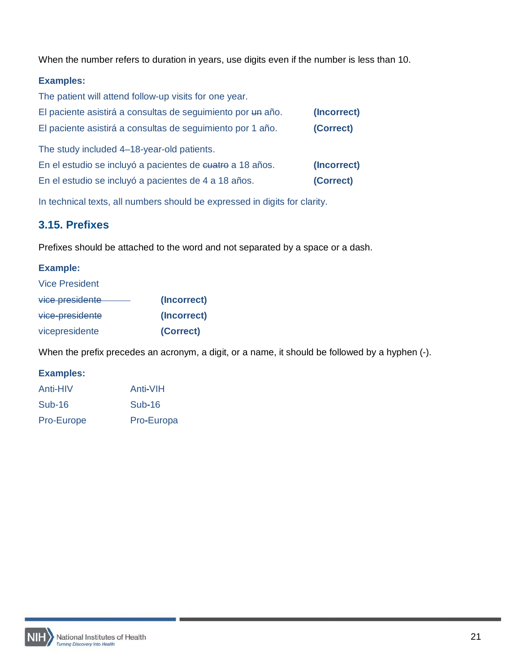When the number refers to duration in years, use digits even if the number is less than 10.

# **Examples:**

| The patient will attend follow-up visits for one year.      |             |
|-------------------------------------------------------------|-------------|
| El paciente asistirá a consultas de seguimiento por un año. | (Incorrect) |
| El paciente asistirá a consultas de seguimiento por 1 año.  | (Correct)   |
| The study included 4-18-year-old patients.                  |             |
| En el estudio se incluyó a pacientes de euatro a 18 años.   | (Incorrect) |
| En el estudio se incluyó a pacientes de 4 a 18 años.        | (Correct)   |

In technical texts, all numbers should be expressed in digits for clarity.

# <span id="page-20-0"></span>**3.15. Prefixes**

Prefixes should be attached to the word and not separated by a space or a dash.

# **Example:**

| <b>Vice President</b> |             |
|-----------------------|-------------|
| vice presidente       | (Incorrect) |
| vice-presidente       | (Incorrect) |
| vicepresidente        | (Correct)   |

When the prefix precedes an acronym, a digit, or a name, it should be followed by a hyphen (-).

| Anti-HIV   | Anti-VIH   |
|------------|------------|
| Sub-16     | $Sub-16$   |
| Pro-Europe | Pro-Europa |

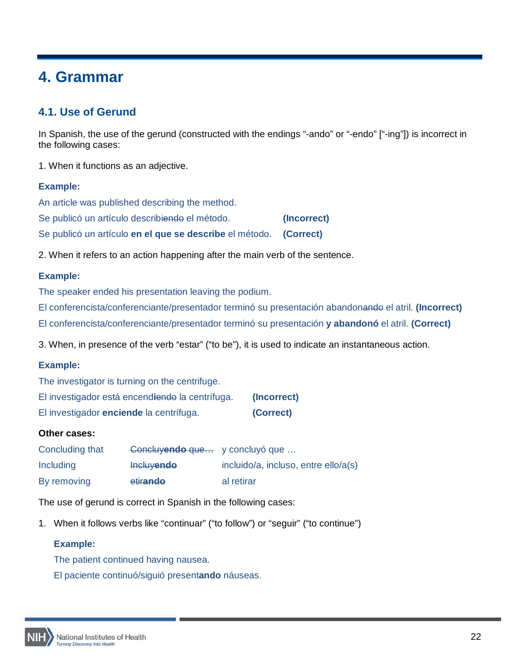# <span id="page-21-0"></span>**4. Grammar**

# <span id="page-21-1"></span>**4.1. Use of Gerund**

In Spanish, the use of the gerund (constructed with the endings "-ando" or "-endo" ["-ing"]) is incorrect in the following cases:

1. When it functions as an adjective.

# **Example:**

| An article was published describing the method.                   |             |
|-------------------------------------------------------------------|-------------|
| Se publicó un artículo describiendo el método.                    | (Incorrect) |
| Se publicó un artículo en el que se describe el método. (Correct) |             |

2. When it refers to an action happening after the main verb of the sentence.

# **Example:**

The speaker ended his presentation leaving the podium.

El conferencista/conferenciante/presentador terminó su presentación abandonando el atril. **(Incorrect)** El conferencista/conferenciante/presentador terminó su presentación **y abandonó** el atril. **(Correct)**

3. When, in presence of the verb "estar" ("to be"), it is used to indicate an instantaneous action.

# **Example:**

The investigator is turning on the centrifuge.

| El investigador está encendiendo la centrífuga. | (Incorrect) |
|-------------------------------------------------|-------------|
| El investigador enciende la centrífuga.         | (Correct)   |

# **Other cases:**

| Concluding that | Concluyendo que y concluyó que |                                      |
|-----------------|--------------------------------|--------------------------------------|
| Including       | <b>Incluyendo</b>              | incluido/a, incluso, entre ello/a(s) |
| By removing     | etirando                       | al retirar                           |

The use of gerund is correct in Spanish in the following cases:

1. When it follows verbs like "continuar" ("to follow") or "seguir" ("to continue")

# **Example:**

The patient continued having nausea.

El paciente continuó/siguió present**ando** náuseas.

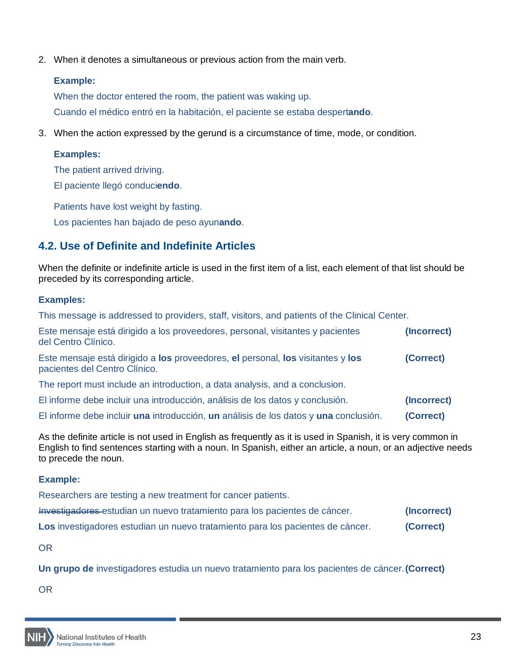2. When it denotes a simultaneous or previous action from the main verb.

#### **Example:**

When the doctor entered the room, the patient was waking up.

Cuando el médico entró en la habitación, el paciente se estaba despert**ando**.

3. When the action expressed by the gerund is a circumstance of time, mode, or condition.

# **Examples:**

The patient arrived driving.

El paciente llegó conduci**endo**.

Patients have lost weight by fasting.

Los pacientes han bajado de peso ayun**ando**.

# <span id="page-22-0"></span>**4.2. Use of Definite and Indefinite Articles**

When the definite or indefinite article is used in the first item of a list, each element of that list should be preceded by its corresponding article.

# **Examples:**

This message is addressed to providers, staff, visitors, and patients of the Clinical Center.

| Este mensaje está dirigido a los proveedores, personal, visitantes y pacientes<br>del Centro Clínico.            | (Incorrect) |
|------------------------------------------------------------------------------------------------------------------|-------------|
| Este mensaje está dirigido a los proveedores, el personal, los visitantes y los<br>pacientes del Centro Clínico. | (Correct)   |
| The report must include an introduction, a data analysis, and a conclusion.                                      |             |
| El informe debe incluir una introducción, análisis de los datos y conclusión.                                    | (Incorrect) |
| El informe debe incluir una introducción, un análisis de los datos y una conclusión.                             | (Correct)   |

As the definite article is not used in English as frequently as it is used in Spanish, it is very common in English to find sentences starting with a noun. In Spanish, either an article, a noun, or an adjective needs to precede the noun.

# **Example:**

Researchers are testing a new treatment for cancer patients.

| Investigadores estudian un nuevo tratamiento para los pacientes de cáncer.     | (Incorrect) |
|--------------------------------------------------------------------------------|-------------|
| Los investigadores estudian un nuevo tratamiento para los pacientes de cáncer. | (Correct)   |

OR

**Un grupo de** investigadores estudia un nuevo tratamiento para los pacientes de cáncer.**(Correct)**

OR

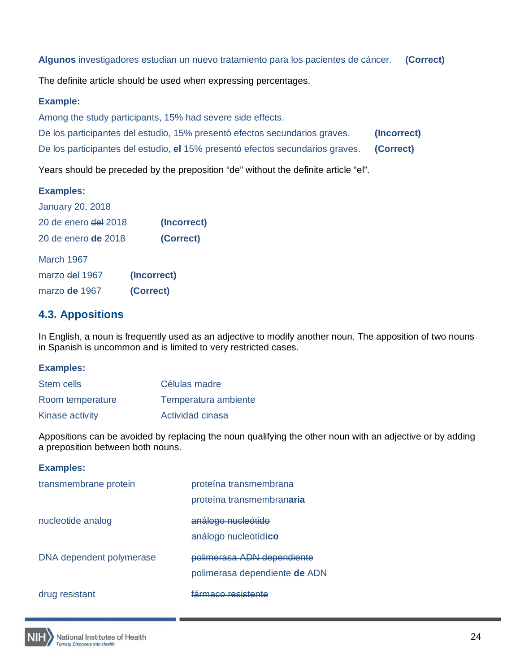**Algunos** investigadores estudian un nuevo tratamiento para los pacientes de cáncer. **(Correct)**

The definite article should be used when expressing percentages.

## **Example:**

Among the study participants, 15% had severe side effects.

De los participantes del estudio, 15% presentó efectos secundarios graves. **(Incorrect)**

De los participantes del estudio, **el** 15% presentó efectos secundarios graves. **(Correct)**

Years should be preceded by the preposition "de" without the definite article "el".

# **Examples:**

| <b>January 20, 2018</b>         |             |
|---------------------------------|-------------|
| 20 de enero <del>del</del> 2018 | (Incorrect) |
| 20 de enero <b>de</b> 2018      | (Correct)   |
| <b>March 1967</b>               |             |
| marzo del 1967                  | (Incorrect) |
| marzo de 1967                   | (Correct)   |

# <span id="page-23-0"></span>**4.3. Appositions**

In English, a noun is frequently used as an adjective to modify another noun. The apposition of two nouns in Spanish is uncommon and is limited to very restricted cases.

# **Examples:**

| Stem cells       | Células madre        |
|------------------|----------------------|
| Room temperature | Temperatura ambiente |
| Kinase activity  | Actividad cinasa     |

Appositions can be avoided by replacing the noun qualifying the other noun with an adjective or by adding a preposition between both nouns.

| transmembrane protein    | proteína transmembrana<br>proteína transmembranaria                |
|--------------------------|--------------------------------------------------------------------|
| nucleotide analog        | análogo nucleótido<br>análogo nucleotídico                         |
| DNA dependent polymerase | <u>polimerasa ADN dependiente</u><br>polimerasa dependiente de ADN |
| drug resistant           | <u>co rocietante</u>                                               |

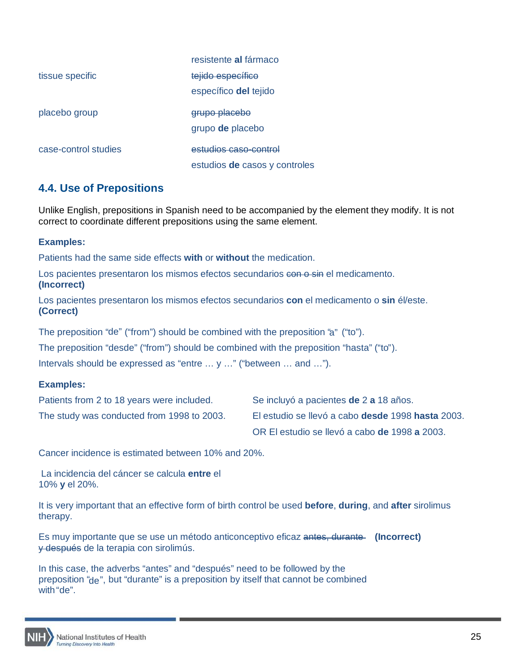|                      | resistente al fármaco         |
|----------------------|-------------------------------|
| tissue specific      | tejido específico             |
|                      | específico del tejido         |
| placebo group        | grupo placebo                 |
|                      | grupo de placebo              |
| case-control studies | estudios caso-control         |
|                      | estudios de casos y controles |

# <span id="page-24-0"></span>**4.4. Use of Prepositions**

Unlike English, prepositions in Spanish need to be accompanied by the element they modify. It is not correct to coordinate different prepositions using the same element.

#### **Examples:**

Patients had the same side effects **with** or **without** the medication.

Los pacientes presentaron los mismos efectos secundarios con o sin el medicamento. **(Incorrect)**

Los pacientes presentaron los mismos efectos secundarios **con** el medicamento o **sin** él/este. **(Correct)**

The preposition "de" ("from") should be combined with the preposition 'a" ("to").

The preposition "desde" ("from") should be combined with the preposition "hasta" ("to").

Intervals should be expressed as "entre … y …" ("between … and …").

#### **Examples:**

| Patients from 2 to 18 years were included. | Se incluyó a pacientes de 2 a 18 años.            |
|--------------------------------------------|---------------------------------------------------|
| The study was conducted from 1998 to 2003. | El estudio se llevó a cabo desde 1998 hasta 2003. |
|                                            | OR El estudio se llevó a cabo de 1998 a 2003.     |

Cancer incidence is estimated between 10% and 20%.

La incidencia del cáncer se calcula **entre** el 10% **y** el 20%.

It is very important that an effective form of birth control be used **before**, **during**, and **after** sirolimus therapy.

Es muy importante que se use un método anticonceptivo eficaz antes, durante **(Incorrect)** y después de la terapia con sirolimús.

In this case, the adverbs "antes" and "después" need to be followed by the preposition "de", but "durante" is a preposition by itself that cannot be combined with "de".

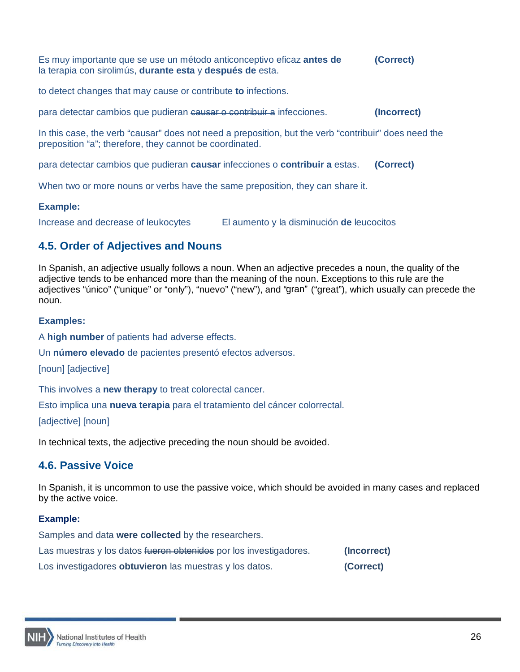Es muy importante que se use un método anticonceptivo eficaz **antes de (Correct)** la terapia con sirolimús, **durante esta** y **después de** esta.

to detect changes that may cause or contribute **to** infections.

para detectar cambios que pudieran causar o contribuir a infecciones. **(Incorrect)**

In this case, the verb "causar" does not need a preposition, but the verb "contribuir" does need the preposition "a"; therefore, they cannot be coordinated.

para detectar cambios que pudieran **causar** infecciones o **contribuir a** estas. **(Correct)**

When two or more nouns or verbs have the same preposition, they can share it.

#### **Example:**

Increase and decrease of leukocytes El aumento y la disminución **de** leucocitos

# <span id="page-25-0"></span>**4.5. Order of Adjectives and Nouns**

In Spanish, an adjective usually follows a noun. When an adjective precedes a noun, the quality of the adjective tends to be enhanced more than the meaning of the noun. Exceptions to this rule are the adjectives "único" ("unique" or "only"), "nuevo" ("new"), and "gran" ("great"), which usually can precede the noun.

#### **Examples:**

A **high number** of patients had adverse effects.

Un **número elevado** de pacientes presentó efectos adversos.

[noun] [adjective]

This involves a **new therapy** to treat colorectal cancer.

Esto implica una **nueva terapia** para el tratamiento del cáncer colorrectal.

[adjective] [noun]

In technical texts, the adjective preceding the noun should be avoided.

# <span id="page-25-1"></span>**4.6. Passive Voice**

In Spanish, it is uncommon to use the passive voice, which should be avoided in many cases and replaced by the active voice.

#### **Example:**

Samples and data **were collected** by the researchers. Las muestras y los datos fueron obtenidos por los investigadores. **(Incorrect)** Los investigadores **obtuvieron** las muestras y los datos. **(Correct)**

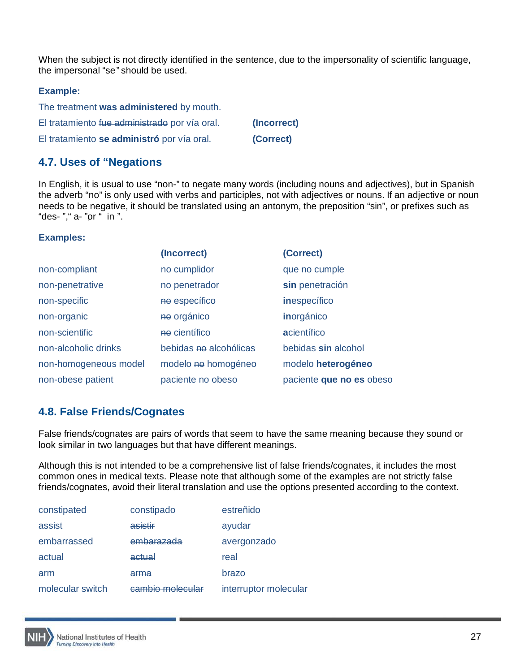When the subject is not directly identified in the sentence, due to the impersonality of scientific language, the impersonal "se" should be used.

#### **Example:**

| The treatment was administered by mouth.      |             |
|-----------------------------------------------|-------------|
| El tratamiento fue administrado por vía oral. | (Incorrect) |
| El tratamiento se administró por vía oral.    | (Correct)   |

# <span id="page-26-0"></span>**4.7. Uses of "Negations**

In English, it is usual to use "non-" to negate many words (including nouns and adjectives), but in Spanish the adverb "no" is only used with verbs and participles, not with adjectives or nouns. If an adjective or noun needs to be negative, it should be translated using an antonym, the preposition "sin", or prefixes such as "des- "," a- "or " in ".

#### **Examples:**

|                       | (Incorrect)            | (Correct)                |
|-----------------------|------------------------|--------------------------|
| non-compliant         | no cumplidor           | que no cumple            |
| non-penetrative       | no penetrador          | sin penetración          |
| non-specific          | no específico          | <i>inespecífico</i>      |
| non-organic           | no orgánico            | inorgánico               |
| non-scientific        | no científico          | acientífico              |
| non-alcoholic drinks  | bebidas no alcohólicas | bebidas sin alcohol      |
| non-homogeneous model | modelo no homogéneo    | modelo heterogéneo       |
| non-obese patient     | paciente no obeso      | paciente que no es obeso |

# <span id="page-26-1"></span>**4.8. False Friends/Cognates**

False friends/cognates are pairs of words that seem to have the same meaning because they sound or look similar in two languages but that have different meanings.

Although this is not intended to be a comprehensive list of false friends/cognates, it includes the most common ones in medical texts. Please note that although some of the examples are not strictly false friends/cognates, avoid their literal translation and use the options presented according to the context.

| constipated      | constipado       | estreñido             |
|------------------|------------------|-----------------------|
| assist           | asistir          | ayudar                |
| embarrassed      | embarazada       | avergonzado           |
| actual           | actual           | real                  |
| arm              | arma             | brazo                 |
| molecular switch | cambio molecular | interruptor molecular |

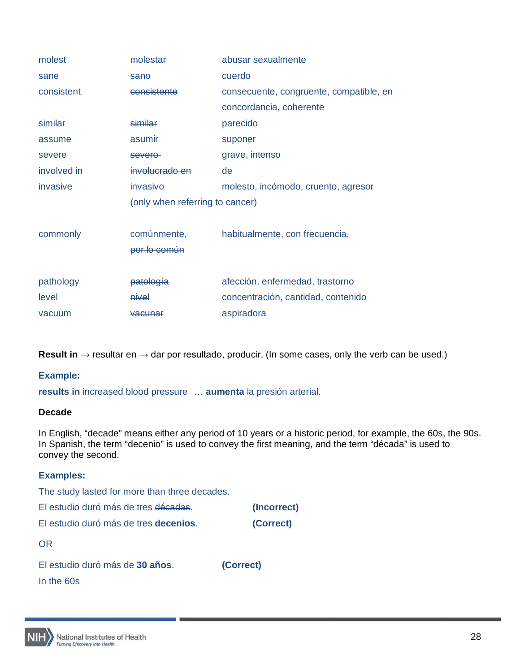| molest      | molestar                        | abusar sexualmente                      |
|-------------|---------------------------------|-----------------------------------------|
| sane        | sano                            | cuerdo                                  |
| consistent  | consistente                     | consecuente, congruente, compatible, en |
|             |                                 | concordancia, coherente                 |
| similar     | similar                         | parecido                                |
| assume      | asumir                          | suponer                                 |
| severe      | severe-                         | grave, intenso                          |
| involved in | involucrado en                  | de                                      |
| invasive    | invasivo                        | molesto, incómodo, cruento, agresor     |
|             | (only when referring to cancer) |                                         |
|             |                                 |                                         |
| commonly    | comunmente.                     | habitualmente, con frecuencia,          |
|             | por lo común                    |                                         |
|             |                                 |                                         |
| pathology   | patología                       | afección, enfermedad, trastorno         |
| level       | nivel                           | concentración, cantidad, contenido      |
| vacuum      | <del>vacunar</del>              | aspiradora                              |

**Result in** → resultar en → dar por resultado, producir. (In some cases, only the verb can be used.)

# **Example:**

**results in** increased blood pressure … **aumenta** la presión arterial.

#### **Decade**

In English, "decade" means either any period of 10 years or a historic period, for example, the 60s, the 90s. In Spanish, the term "decenio" is used to convey the first meaning, and the term "década" is used to convey the second.

| <b>Examples:</b>                              |             |
|-----------------------------------------------|-------------|
| The study lasted for more than three decades. |             |
| El estudio duró más de tres décadas.          | (Incorrect) |
| El estudio duró más de tres <b>decenios</b> . | (Correct)   |
| <b>OR</b>                                     |             |
| El estudio duró más de 30 años.               | (Correct)   |
| In the 60s                                    |             |

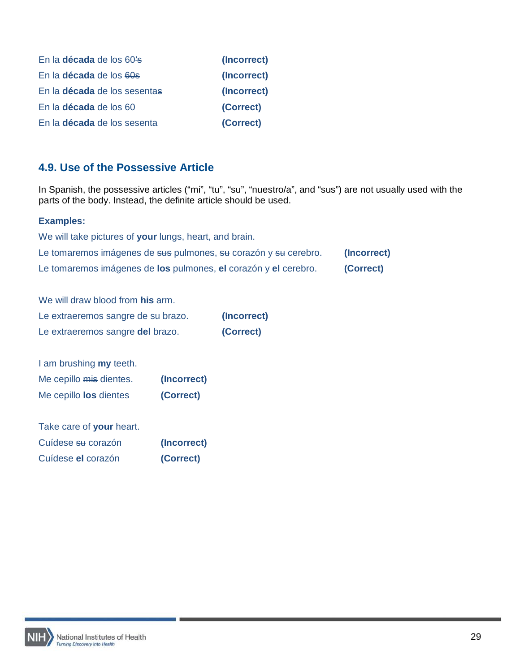| En la década de los 60's            | (Incorrect) |
|-------------------------------------|-------------|
| En la <b>década</b> de los 60s      | (Incorrect) |
| En la <b>década</b> de los sesentas | (Incorrect) |
| En la <b>década</b> de los 60       | (Correct)   |
| En la <b>década</b> de los sesenta  | (Correct)   |

# <span id="page-28-0"></span>**4.9. Use of the Possessive Article**

In Spanish, the possessive articles ("mi", "tu", "su", "nuestro/a", and "sus") are not usually used with the parts of the body. Instead, the definite article should be used.

## **Examples:**

| We will take pictures of your lungs, heart, and brain.          |             |
|-----------------------------------------------------------------|-------------|
| Le tomaremos imágenes de sus pulmones, su corazón y su cerebro. | (Incorrect) |
| Le tomaremos imágenes de los pulmones, el corazón y el cerebro. | (Correct)   |

We will draw blood from **his** arm. Le extraeremos sangre de su brazo. **(Incorrect)** Le extraeremos sangre **del** brazo. **(Correct)**

| I am brushing <b>my</b> teeth. |             |
|--------------------------------|-------------|
| Me cepillo mis dientes.        | (Incorrect) |
| Me cepillo los dientes         | (Correct)   |

| Take care of your heart. |             |
|--------------------------|-------------|
| Cuídese su corazón       | (Incorrect) |
| Cuídese el corazón       | (Correct)   |

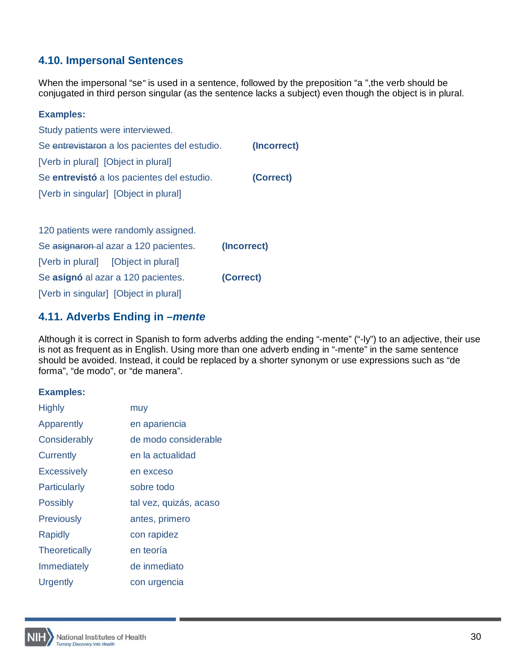# <span id="page-29-0"></span>**4.10. Impersonal Sentences**

When the impersonal "se" is used in a sentence, followed by the preposition "a ",the verb should be conjugated in third person singular (as the sentence lacks a subject) even though the object is in plural.

| <b>Examples:</b>                              |             |
|-----------------------------------------------|-------------|
| Study patients were interviewed.              |             |
| Se entrevistaron a los pacientes del estudio. | (Incorrect) |
| [Verb in plural] [Object in plural]           |             |
| Se entrevistó a los pacientes del estudio.    | (Correct)   |
| [Verb in singular] [Object in plural]         |             |
|                                               |             |
| 120 patients were randomly assigned.          |             |
| Se asignaron al azar a 120 pacientes.         | (Incorrect) |
| [Verb in plural] [Object in plural]           |             |
| Se asignó al azar a 120 pacientes.            | (Correct)   |
| [Verb in singular] [Object in plural]         |             |
|                                               |             |

# <span id="page-29-1"></span>**4.11. Adverbs Ending in –***mente*

Although it is correct in Spanish to form adverbs adding the ending "-mente" ("-ly") to an adjective, their use is not as frequent as in English. Using more than one adverb ending in "-mente" in the same sentence should be avoided. Instead, it could be replaced by a shorter synonym or use expressions such as "de forma", "de modo", or "de manera".

| muy                    |
|------------------------|
| en apariencia          |
| de modo considerable   |
| en la actualidad       |
| en exceso              |
| sobre todo             |
| tal vez, quizás, acaso |
| antes, primero         |
| con rapidez            |
| en teoría              |
| de inmediato           |
| con urgencia           |
|                        |

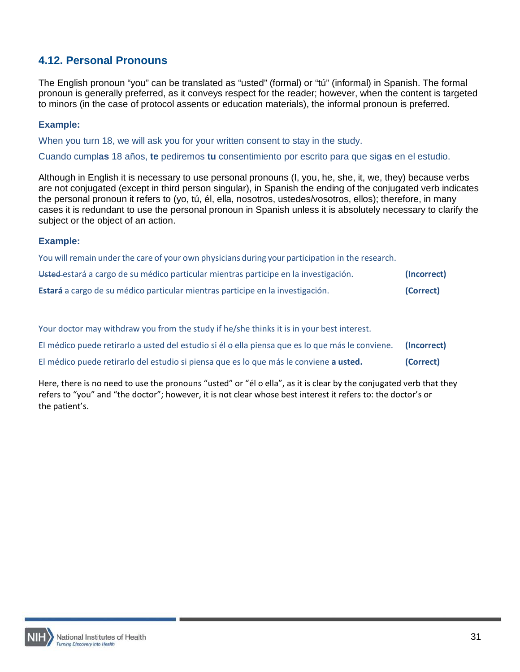# <span id="page-30-0"></span>**4.12. Personal Pronouns**

The English pronoun "you" can be translated as "usted" (formal) or "tú" (informal) in Spanish. The formal pronoun is generally preferred, as it conveys respect for the reader; however, when the content is targeted to minors (in the case of protocol assents or education materials), the informal pronoun is preferred.

## **Example:**

When you turn 18, we will ask you for your written consent to stay in the study.

Cuando cumpl**as** 18 años, **te** pediremos **tu** consentimiento por escrito para que siga**s** en el estudio.

Although in English it is necessary to use personal pronouns (I, you, he, she, it, we, they) because verbs are not conjugated (except in third person singular), in Spanish the ending of the conjugated verb indicates the personal pronoun it refers to (yo, tú, él, ella, nosotros, ustedes/vosotros, ellos); therefore, in many cases it is redundant to use the personal pronoun in Spanish unless it is absolutely necessary to clarify the subject or the object of an action.

#### **Example:**

You will remain under the care of your own physicians during your participation in the research. Usted estará a cargo de su médico particular mientras participe en la investigación. **(Incorrect) Estará** a cargo de su médico particular mientras participe en la investigación. **(Correct)** 

Your doctor may withdraw you from the study if he/she thinks it is in your best interest.

El médico puede retirarlo a usted del estudio si él o ella piensa que es lo que más le conviene. **(Incorrect)**

El médico puede retirarlo del estudio si piensa que es lo que más le conviene **a usted. (Correct)**

Here, there is no need to use the pronouns "usted" or "él o ella", as it is clear by the conjugated verb that they refers to "you" and "the doctor"; however, it is not clear whose best interest it refers to: the doctor's or the patient's.

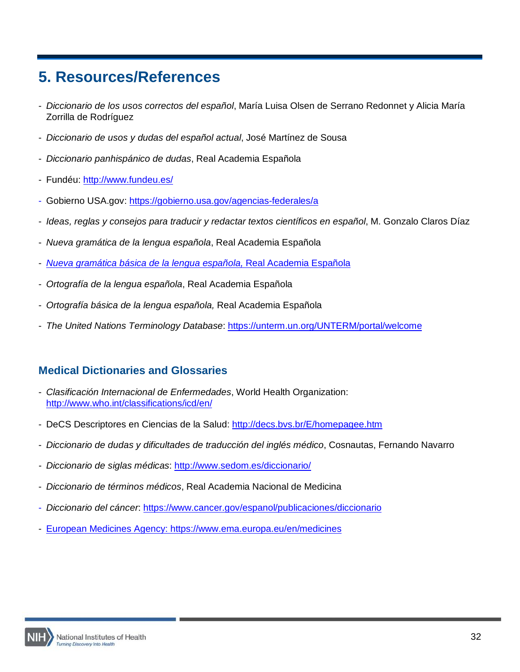# <span id="page-31-0"></span>**5. Resources/References**

- *Diccionario de los usos correctos del español*, María Luisa Olsen de Serrano Redonnet y Alicia María Zorrilla de Rodríguez
- *Diccionario de usos y dudas del español actual*, José Martínez de Sousa
- *Diccionario panhispánico de dudas*, Real Academia Española
- Fundéu:<http://www.fundeu.es/>
- Gobierno USA.gov:<https://gobierno.usa.gov/agencias-federales/a>
- *Ideas, reglas y consejos para traducir y redactar textos científicos en español*, M. Gonzalo Claros Díaz
- *Nueva gramática de la lengua española*, Real Academia Española
- *[Nueva gramática básica de la lengua española,](http://www.rae.es/obras-academicas/ortografia/ortografia-basica)* Real Academia Española
- *Ortografía de la lengua española*, Real Academia Española
- *Ortografía básica de la lengua española,* Real Academia Española
- *The United Nations Terminology Database*:<https://unterm.un.org/UNTERM/portal/welcome>

# <span id="page-31-1"></span>**Medical Dictionaries and Glossaries**

- *Clasificación Internacional de Enfermedades*, World Health Organization: <http://www.who.int/classifications/icd/en/>
- DeCS Descriptores en Ciencias de la Salud: http://decs.bvs.br/E/homepagee.htm
- *Diccionario de dudas y dificultades de traducción del inglés médico*, Cosnautas, Fernando Navarro
- *Diccionario de siglas médicas*:<http://www.sedom.es/diccionario/>
- *Diccionario de términos médicos*, Real Academia Nacional de Medicina
- *Diccionario del cáncer*:<https://www.cancer.gov/espanol/publicaciones/diccionario>
- European Medicines Agency:<https://www.ema.europa.eu/en/medicines>